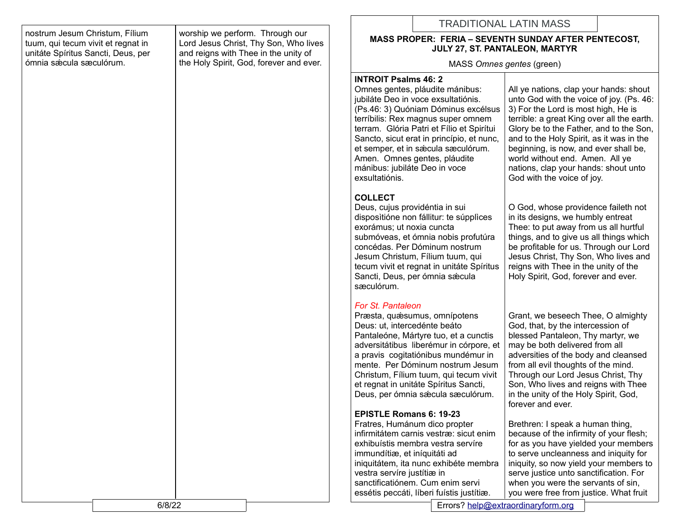|                                                                                                            |                                                                                                                                                             | <b>TRADITIONAL LATIN MASS</b>                                                                                                                                                                                                                                                                                                                                                                                                                                                                                                                              |                                                                                                                                                                                                                                                                                                                                                                                                                                                                                                                                          |
|------------------------------------------------------------------------------------------------------------|-------------------------------------------------------------------------------------------------------------------------------------------------------------|------------------------------------------------------------------------------------------------------------------------------------------------------------------------------------------------------------------------------------------------------------------------------------------------------------------------------------------------------------------------------------------------------------------------------------------------------------------------------------------------------------------------------------------------------------|------------------------------------------------------------------------------------------------------------------------------------------------------------------------------------------------------------------------------------------------------------------------------------------------------------------------------------------------------------------------------------------------------------------------------------------------------------------------------------------------------------------------------------------|
| nostrum Jesum Christum, Fílium<br>tuum, qui tecum vivit et regnat in<br>unitáte Spíritus Sancti, Deus, per | worship we perform. Through our<br>Lord Jesus Christ, Thy Son, Who lives<br>and reigns with Thee in the unity of<br>the Holy Spirit, God, forever and ever. | <b>MASS PROPER: FERIA - SEVENTH SUNDAY AFTER PENTECOST,</b><br>JULY 27, ST. PANTALEON, MARTYR                                                                                                                                                                                                                                                                                                                                                                                                                                                              |                                                                                                                                                                                                                                                                                                                                                                                                                                                                                                                                          |
| ómnia sæcula sæculórum.                                                                                    |                                                                                                                                                             | MASS Omnes gentes (green)                                                                                                                                                                                                                                                                                                                                                                                                                                                                                                                                  |                                                                                                                                                                                                                                                                                                                                                                                                                                                                                                                                          |
|                                                                                                            |                                                                                                                                                             | <b>INTROIT Psalms 46: 2</b><br>Omnes gentes, pláudite mánibus:<br>jubiláte Deo in voce exsultatiónis.<br>(Ps.46: 3) Quóniam Dóminus excélsus<br>terríbilis: Rex magnus super omnem<br>terram. Glória Patri et Fílio et Spirítui<br>Sancto, sicut erat in princípio, et nunc,<br>et semper, et in sæcula sæculórum.<br>Amen. Omnes gentes, pláudite<br>mánibus: jubiláte Deo in voce<br>exsultatiónis.                                                                                                                                                      | All ye nations, clap your hands: shout<br>unto God with the voice of joy. (Ps. 46:<br>3) For the Lord is most high, He is<br>terrible: a great King over all the earth.<br>Glory be to the Father, and to the Son,<br>and to the Holy Spirit, as it was in the<br>beginning, is now, and ever shall be,<br>world without end. Amen. All ye<br>nations, clap your hands: shout unto<br>God with the voice of joy.                                                                                                                         |
|                                                                                                            |                                                                                                                                                             | <b>COLLECT</b><br>Deus, cujus providéntia in sui<br>dispositióne non fállitur: te súpplices<br>exorámus; ut noxia cuncta<br>submóveas, et ómnia nobis profutúra<br>concédas. Per Dóminum nostrum<br>Jesum Christum, Fílium tuum, qui<br>tecum vivit et regnat in unitate Spíritus<br>Sancti, Deus, per ómnia sæcula<br>sæculórum.                                                                                                                                                                                                                          | O God, whose providence faileth not<br>in its designs, we humbly entreat<br>Thee: to put away from us all hurtful<br>things, and to give us all things which<br>be profitable for us. Through our Lord<br>Jesus Christ, Thy Son, Who lives and<br>reigns with Thee in the unity of the<br>Holy Spirit, God, forever and ever.                                                                                                                                                                                                            |
|                                                                                                            |                                                                                                                                                             | For St. Pantaleon<br>Præsta, quæsumus, omnípotens<br>Deus: ut, intercedénte beáto<br>Pantaleóne, Mártyre tuo, et a cunctis<br>adversitátibus liberémur in córpore, et<br>a pravis cogitatiónibus mundémur in<br>mente. Per Dóminum nostrum Jesum<br>Christum, Fílium tuum, qui tecum vivit<br>et regnat in unitate Spíritus Sancti,<br>Deus, per ómnia sæcula sæculórum.<br><b>EPISTLE Romans 6: 19-23</b><br>Fratres, Humánum dico propter<br>infirmitátem carnis vestræ: sicut enim<br>exhibuístis membra vestra servíre<br>immundítiæ, et iníquitáti ad | Grant, we beseech Thee, O almighty<br>God, that, by the intercession of<br>blessed Pantaleon, Thy martyr, we<br>may be both delivered from all<br>adversities of the body and cleansed<br>from all evil thoughts of the mind.<br>Through our Lord Jesus Christ, Thy<br>Son, Who lives and reigns with Thee<br>in the unity of the Holy Spirit, God,<br>forever and ever.<br>Brethren: I speak a human thing,<br>because of the infirmity of your flesh;<br>for as you have yielded your members<br>to serve uncleanness and iniquity for |
|                                                                                                            |                                                                                                                                                             | iniquitátem, ita nunc exhibéte membra<br>vestra servíre justítiæ in<br>sanctificatiónem. Cum enim servi<br>essétis peccáti, líberi fuístis justítiæ.                                                                                                                                                                                                                                                                                                                                                                                                       | iniquity, so now yield your members to<br>serve justice unto sanctification. For<br>when you were the servants of sin,<br>you were free from justice. What fruit                                                                                                                                                                                                                                                                                                                                                                         |

- 1